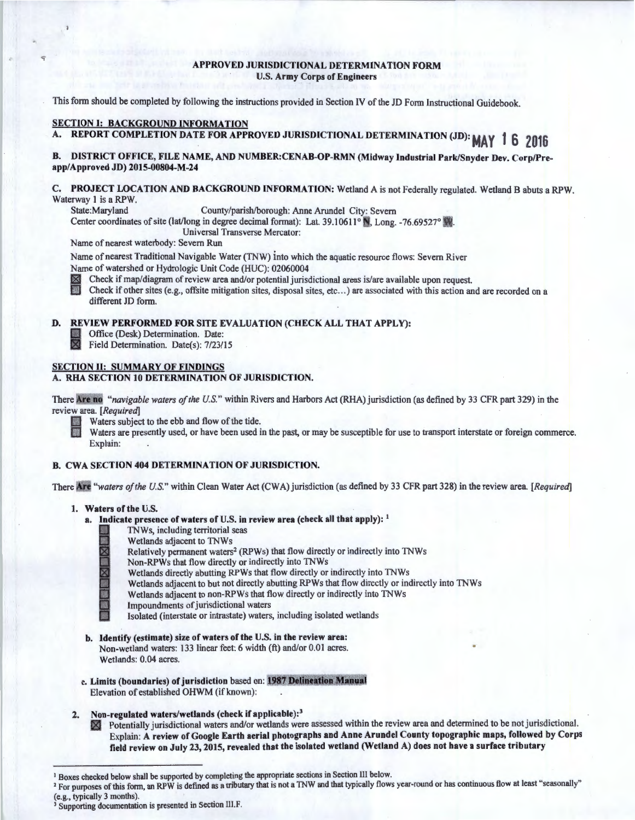### APPROVED JURISDICTIONAL DETERMINATION FORM U.S. Army Corps of Engineers

This form should be completed by following the instructions provided in Section IV of the JD Form Instructional Guidebook.

# SECTION I: BACKGROUND INFORMATION

A. REPORT COMPLETION DATE FOR APPROVED JURISDICTIONAL DETERMINATION (JD): **MAY 1 6 2016** 

B. DISTRICT OFFICE, FILE NAME, AND NUMBER:CENAB-OP-RMN (Midway Industrial Park/Snyder Dev. Corp/Preapp/Approved JD) 2015-00804-M-24

C. PROJECT LOCATION AND BACKGROUND INFORMATION: Wetland A is not Federally regulated. Wetland B abuts a RPW. Waterway 1 is a RPW.<br>State:Maryland

County/parish/borough: Anne Arundel City: Severn

Center coordinates of site (lat/long in degree decimal format): Lat. 39.10611° N, Long. -76.69527° W.

Universal Transverse Mercator:

Name of nearest waterbody: Severn Run

Name of nearest Traditional Navigable Water (TNW) into which the aquatic resource flows: Severn River Name of watershed or Hydrologic Unit Code (HUC): 02060004

181 Check if map/diagram of review area and/or potential jurisdictional areas is/are available upon request.

Check if other sites (e.g., offsite mitigation sites, disposal sites, etc ... ) are associated with this action and are recorded on a different JD form.

# D. REVIEW PERFORMED FOR SITE EVALUATION (CHECK ALL THAT APPLY):<br>Office (Desk) Determination. Date:<br>Refeld Determination. Date(s): 7/23/15

Office (Desk) Determination. Date: Field Determination. Date(s): 7/23/15

# **SECTION II: SUMMARY OF FINDINGS**

### A. RHA SECTION IO DETERMINATION OF JURISDICTION.

There Are no "navigable waters of the U.S." within Rivers and Harbors Act (RHA) jurisdiction (as defined by 33 CFR part 329) in the review area. *[Required]* 

Waters subject to the ebb and flow of the tide.<br>Waters are presently used, or have been used in the past, or may be susceptible for use to transport interstate or foreign commerce. Explain:

### B. CWA SECTION 404 DETERMINATION OF JURISDICTION.

There Are "waters of the U.S." within Clean Water Act (CWA) jurisdiction (as defined by 33 CFR part 328) in the review area. [Required]

- 1. Waters of the U.S.
	- a. Indicate presence of waters of U.S. in review area (check all that apply): <sup>1</sup>
		- TNWs, including territorial seas
		-
		- Wetlands adjacent to TNWs<br>Relatively permanent waters<sup>2</sup> (RPWs) that flow directly or indirectly into TNWs
		- Non-RPWs that flow directly or indirectly into TNWs
		- Wetlands directly abutting RPWs that flow directly or indirectly into TNWs
		- Relatively permanent waters<sup>2</sup> (RPWs) that flow directly or indirectly into TNWs<br>Non-RPWs that flow directly or indirectly into TNWs<br>Wetlands directly abutting RPWs that flow directly into TNWs<br>Wetlands adjacent to but not Wetlands adjacent to but not directly abutting RPWs that flow directly or indirectly into TNWs
			- Wetlands adjacent to non-RPWs that flow directly or indirectly into TNWs
			- Impoundments of jurisdictional waters

Isolated (interstate or intrastate) waters, including isolated wetlands

- b. Identify (estimate) size of waters of the U.S. in the review area: Non-wetland waters: 133 linear feet: 6 width (ft) and/or 0.01 acres. Wetlands: 0.04 acres.
- c. Limits (boundaries) of jurisdiction based on: 1987 Delineation Manual Elevation of established OHWM (if known):
- 2. Non-regulated waters/wetlands (check if applicable):<sup>3</sup>
	- Potentially jurisdictional waters and/or wetlands were assessed within the review area and determined to be not jurisdictional. Explain: A review of Google Earth aerial photographs and Anne Arundel County topographic maps, followed by Corps field review on July 23, 2015, revealed that the isolated wetland (Wetland A) does not have a surface tributary

<sup>&</sup>lt;sup>1</sup> Boxes checked below shall be supported by completing the appropriate sections in Section III below.

<sup>&</sup>lt;sup>2</sup> For purposes of this form, an RPW is defined as a tributary that is not a TNW and that typically flows year-round or has continuous flow at least "seasonally" (e.g., typically 3 months).<br><sup>3</sup> Supporting documentation is presented in Section III.F.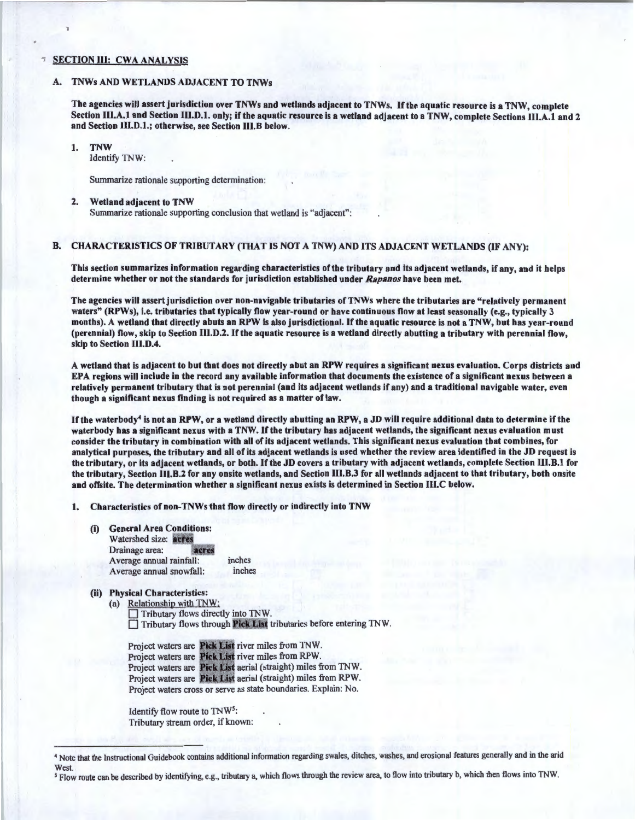### **SECTION III: CWA ANALYSIS**

### TNWs AND WETLANDS ADJACENT TO TNWs

The agencies will assert jurisdiction over TNWs and wetlands adjacent to TNWs. If the aquatic resource is a TNW, complete Section III.A.1 and Section III.D.1. only; if the aquatic resource is a wetland adjacent to a TNW, complete Sections III.A.1 and 2 and Section IH.D.l.; otherwise, see Section 111.8 below.

### I. TNW

Identify TNW:

Summarize rationale supporting determination:

### 2. Wetland adjacent to TNW

Summarize rationale supporting conclusion that wetland is "adjacent":

### B. CHARACTERISTICS OF TRIBUTARY (THAT IS NOT A TNW) AND ITS ADJACENT WETLANDS (IF ANY):

This section summarizes information regarding characteristics of the tributary and its adjacent wetlands, if any, and it helps determine whether or not the standards for jurisdiction established under *Rapanos* have been met.

The agencies will assert jurisdiction over non-navigable tributaries of TNWs where the tributaries are "relatively permanent waters" (RPWs), i.e. tributaries that typically flow year-round or have continuous flow at least seasonally (e.g., typically 3 months). A wetland that directly abuts an RPW is also jurisdictional. If the aquatic resource is not a TNW, but has year-round (perennial) flow, skip to Section 111.D.2. lfthe aquatic resource is a wetland directly abutting a tributary with perennial flow, skip to Section III.D.4.

A wetland that is adjacent to but that does not directly abut an RPW requires a significant nexus evaluation. Corps districts and EPA regions will include in the record any available information that documents the existence of a significant nexus between a relatively permanent tributary that is not perennial (and its adjacent wetlands if any) and a traditional navigable water, even though a significant nexus finding is not required as a matter of law.

If the waterbody4 is not an RPW, or a wetland directly abutting an RPW, a JD will require additional data to determine ifthe waterbody has a significant nexus with a TNW. If the tributary has adjacent wetlands, the significant nexus evaluation must consider the tributary in combination with all of its adjacent wetlands. This significant nexus evaluation that combines, for analytical purposes, the tributary and all of its adjacent wetlands is used whether the review area identified in the JD request is the tributary, or its adjacent wetlands, or both. If the JD covers a tributary with adjacent wetlands, complete Section 111.B.1 for the tributary, Section Ul.8.2 for any onsite wetlands, and Section IJl.8.3 for all wetlands adjacent to that tributary, both onsite and offsite. The determination whether a significant nexus exists is determined in Section 111.C below.

1. Characteristics of non-TNWs that flow directly or indirectly into TNW

(i) General Area Conditions:<br>Watershed size: **acres** Drainage area: acres Average annual rainfall: inches Average annual snowfall: inches

### (ii) Physical Characteristics:

(a) Relationship with TNW: Tributary flows directly into TNW.  $\Box$  Tributary flows through Pick List tributaries before entering TNW.

Project waters are Pick List river miles from TNW. Project waters are Pick List river miles from RPW. Project waters are Pick List aerial (straight) miles from TNW. Project waters are Pick List aerial (straight) miles from RPW. Project waters cross or serve as state boundaries. Explain: No.

Identify flow route to TNW<sup>5</sup>: Tributary stream order, if known:

<sup>•</sup> Note that the Instructional Guidebook contains additional information regarding swales, ditches, washes, and erosional features generally and in the arid

West.<br><sup>5</sup> Flow route can be described by identifying, e.g., tributary a, which flows through the review area, to flow into tributary b, which then flows into TNW.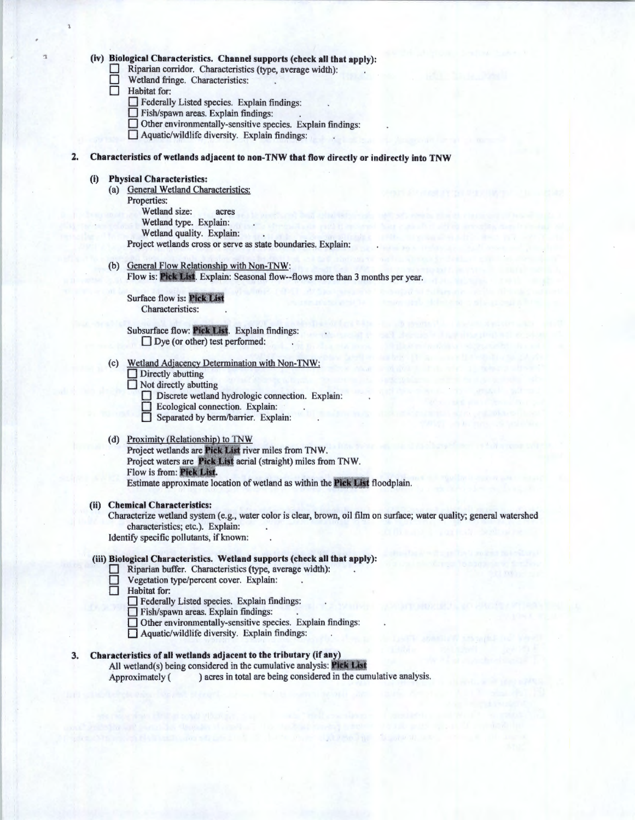### **(iv) Biological Characteristics. Channel supports (check all that apply):**

 $\Box$  Riparian corridor. Characteristics (type, average width):

- Wetland fringe. Characteristics:
- **Habitat for:** 
	- **D** Federally Listed species. Explain findings:
	- **D** Fish/spawn areas. Explain findings:
	- $\Box$  Other environmentally-sensitive species. Explain findings:
	- **0** Aquatic/wildlife diversity. Explain findings:

#### **2. Characteristics of wetlands adjacent to non-TNW that flow directly or indirectly into TNW**

### **(i) Physical Characteristics:**

- (a) General Wetland Characteristics:
	- Properties:

Wetland size: acres Wetland type. Explain:

Wetland quality. Explain:

Project wetlands cross or serve as state boundaries. Explain:

- (b) General Flow Relationship with Non-TNW:
	- Flow is: Pick List. Explain: Seasonal flow--flows more than 3 months per year.

Surface flow is: Pick List Characteristics:

Subsurface flow: Pick List. Explain findings:  $\Box$  Dye (or other) test performed:

- Wetland Adjacency Determination with Non-TNW:
	- Directly abutting
	- **D** Not directly abutting
		- Discrete wetland hydrologic connection. Explain:
		- $\Box$  Ecological connection. Explain:
		- Separated by berm/barrier. Explain:

### (d) Proximity (Relationship) to TNW

Project wetlands are Pick List river miles from TNW. Project waters are Pick List aerial (straight) miles from TNW. Flow is from: Pick List. Estimate approximate location of wetland as within the Pick List floodplain.

### **(ii) Chemical Characteristics:**

Characterize wetland system (e.g., water color is clear, brown, oil film on surface; water quality; general watershed characteristics; etc.). Explain:

**STATISTICS** 

Identify specific pollutants, if known:

# **(iii) Biological Characteristics. Wetland supports (check all that apply):**

- 0 Riparian buffer. Characteristics (type, average width):
- Vegetation type/percent cover. Explain:<br>
Habitat for:
- Habitat for:
	- 0 Federally Listed species. Explain findings:
	- **D** Fish/spawn areas. Explain findings:
	- $\Box$  Other environmentally-sensitive species. Explain findings:
	- 0 Aquatic/wildlife diversity. Explain findings:

# **3. Characteristics of all wetlands adjacent to the tributary (if any)**

All wetland(s) being considered in the cumulative analysis: Plek List Approximately ( ) acres in total are being considered in the cumulative analysis.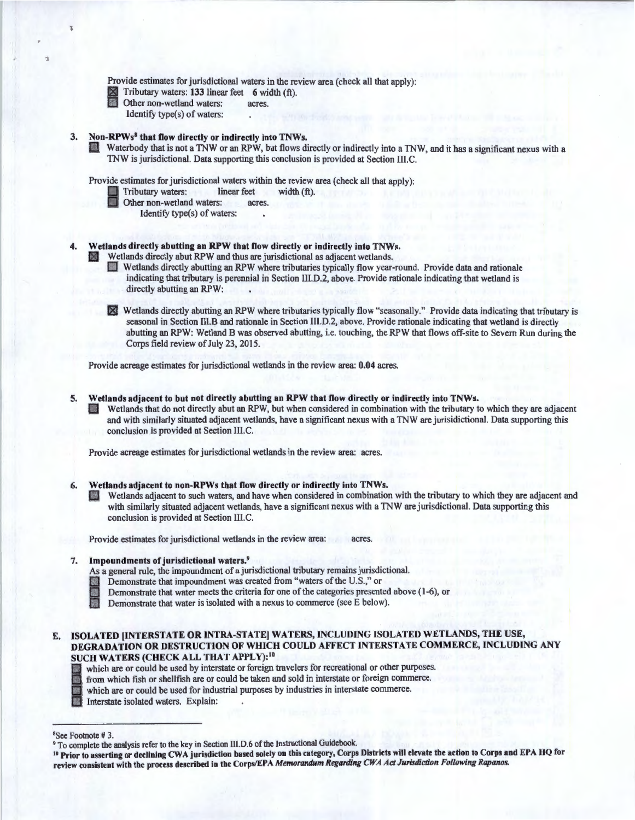Provide estimates for jurisdictional waters in the review area (check all that apply):

Tributary waters: 133 linear feet 6 width (ft).

Other non-wetland waters: acres.

l

Identify type(s) of waters:

### 3. Non-RPWs<sup>8</sup> that flow directly or indirectly into TNWs.

Waterbody that is not a TNW or an RPW, but flows directly or indirectly into a TNW, and it has a significant nexus with a TNW is jurisdictional. Data supporting this conclusion is provided at Section III.C.

Provide estimates for jurisdictional waters within the review area (check all that apply):

- Tributary waters: linear feet width (ft).
- Other non-wetland waters: acres.

Identify type(s) of waters:

### Wetlands directly abutting an RPW that flow directly or indirectly into TNWs.

- Wetlands directly abut RPW and thus are jurisdictional as adjacent wetlands.
	- Wetlands directly abutting an RPW where tributaries typically flow year-round. Provide data and rationale indicating that tributary is perennial in Section III.D.2, above. Provide rationale indicating that wetland is directly abutting an RPW:
	- J8I Wetlands directly abutting an RPW where tributaries typically flow "seasonally." Provide data indicating that tributary is seasonal in Section III.B and rationale in Section lll.D.2, above. Provide rationale indicating that wetland is directly abutting an RPW: Wetland B was observed abutting, i.e. touching, the RPW that flows off-site to Severn Run during the Corps field review of July 23, 2015.

Provide acreage estimates for jurisdictional wetlands in the review area: 0.04 acres.

5. Wetlands adjacent to but not directly abutting an RPW that flow directly or indirectly into TNWs.

Wetlands that do not directly abut an RPW, but when considered in combination with the tributary to which they are adjacent and with similarly situated adjacent wetlands, have a significant nexus with a TNW are jurisidictional. Data supporting this conclusion is provided at Section Ill.C.

Provide acreage estimates for jurisdictional wetlands in the review area: acres.

6. Wetlands adjacent to non-RPWs that flow directly or indirectly into TNWs.<br>Wetlands adjacent to such waters, and have when considered in combination with the tributary to which they are adjacent and with similarly situated adjacent wetlands, have a significant nexus with a TNW are jurisdictional. Data supporting this conclusion is provided at Section III.C.

Provide estimates for jurisdictional wetlands in the review area: acres.

### 7. Impoundments of jurisdictional waters.9

As a general rule, the impoundment of a jurisdictional tributary remains jurisdictional.

Demonstrate that impoundment was created from "waters of the U.S.," or

- **B Demonstrate that water meets the criteria for one of the categories presented above (1-6), or** Demonstrate that water is isolated with a nexus to commerce (see E below).
	- Demonstrate that water is isolated with a nexus to commerce (see E below).

# E. ISOLATED (INTERSTATE OR INTRA-STATE] WATERS, INCLUDING ISOLATED WETLANDS, THE USE, DEGRADATION OR DESTRUCTION OF WHICH COULD AFFECT INTERSTATE COMMERCE, INCLUDING ANY SUCH WATERS (CHECK ALL THAT APPLY):<sup>10</sup>

which are or could be used by interstate or foreign travelers for recreational or other purposes.

from which fish or shellfish are or could be taken and sold in interstate or foreign commerce.

which are or could be used for industrial purposes by industries in interstate commerce.

Interstate isolated waters. Explain:

<sup>&</sup>lt;sup>8</sup>See Footnote # 3.<br><sup>9</sup> To complete the analysis refer to the key in Section III.D.6 of the Instructional Guidebook.

<sup>&</sup>lt;sup>10</sup> Prior to asserting or declining CWA jurisdiction based solely on this category, Corps Districts will elevate the action to Corps and EPA HQ for review consistent with the process described in the Corps/EPA *Memorandum Regarding CWA Act Jurisdiction Following Rapanos.*